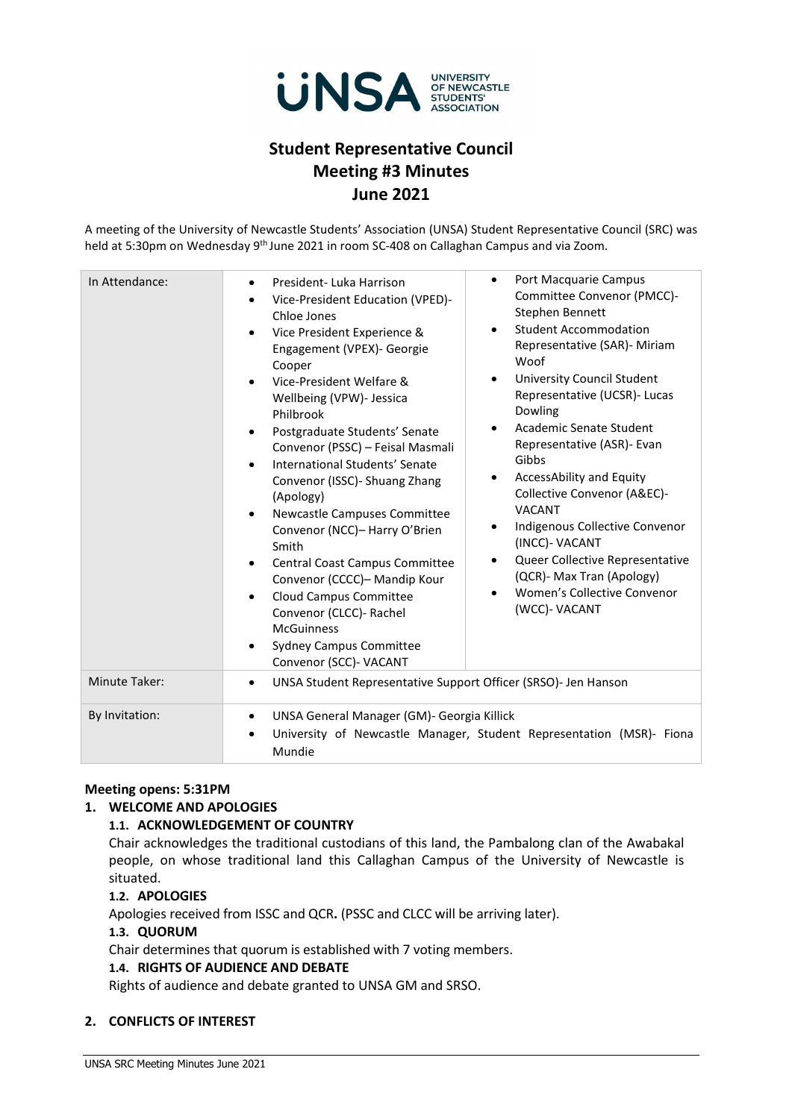

# **Student Representative Council Meeting #3 Minutes June 2021**

A meeting of the University of Newcastle Students' Association (UNSA) Student Representative Council (SRC) was held at 5:30pm on Wednesday 9<sup>th</sup> June 2021 in room SC-408 on Callaghan Campus and via Zoom.

| In Attendance: | Port Macquarie Campus<br>$\bullet$<br>President-Luka Harrison<br>$\bullet$<br>Committee Convenor (PMCC)-<br>Vice-President Education (VPED)-<br>$\bullet$<br>Stephen Bennett<br>Chloe Jones<br><b>Student Accommodation</b><br>$\bullet$<br>Vice President Experience &<br>$\bullet$<br>Representative (SAR)- Miriam<br>Engagement (VPEX)- Georgie<br>Woof<br>Cooper<br><b>University Council Student</b><br>$\bullet$<br>Vice-President Welfare &<br>Representative (UCSR)- Lucas<br>Wellbeing (VPW)- Jessica<br>Dowling<br>Philbrook<br>Academic Senate Student<br>$\bullet$<br>Postgraduate Students' Senate<br>$\bullet$<br>Representative (ASR)- Evan<br>Convenor (PSSC) - Feisal Masmali<br>Gibbs<br>International Students' Senate<br>$\bullet$<br>AccessAbility and Equity<br>$\bullet$<br>Convenor (ISSC) - Shuang Zhang<br>Collective Convenor (A&EC)-<br>(Apology)<br><b>VACANT</b><br>Newcastle Campuses Committee<br>$\bullet$<br>Indigenous Collective Convenor<br>٠<br>Convenor (NCC)- Harry O'Brien<br>(INCC)- VACANT<br>Smith<br>Queer Collective Representative<br>Central Coast Campus Committee<br>$\bullet$<br>(QCR)- Max Tran (Apology)<br>Convenor (CCCC)- Mandip Kour<br>Women's Collective Convenor<br><b>Cloud Campus Committee</b><br>$\bullet$<br>(WCC)- VACANT<br>Convenor (CLCC)- Rachel<br><b>McGuinness</b><br><b>Sydney Campus Committee</b><br>Convenor (SCC)- VACANT |  |  |
|----------------|---------------------------------------------------------------------------------------------------------------------------------------------------------------------------------------------------------------------------------------------------------------------------------------------------------------------------------------------------------------------------------------------------------------------------------------------------------------------------------------------------------------------------------------------------------------------------------------------------------------------------------------------------------------------------------------------------------------------------------------------------------------------------------------------------------------------------------------------------------------------------------------------------------------------------------------------------------------------------------------------------------------------------------------------------------------------------------------------------------------------------------------------------------------------------------------------------------------------------------------------------------------------------------------------------------------------------------------------------------------------------------------------------------|--|--|
| Minute Taker:  | UNSA Student Representative Support Officer (SRSO)- Jen Hanson<br>$\bullet$                                                                                                                                                                                                                                                                                                                                                                                                                                                                                                                                                                                                                                                                                                                                                                                                                                                                                                                                                                                                                                                                                                                                                                                                                                                                                                                             |  |  |
| By Invitation: | UNSA General Manager (GM)- Georgia Killick<br>$\bullet$<br>University of Newcastle Manager, Student Representation (MSR)- Fiona<br>$\bullet$<br>Mundie                                                                                                                                                                                                                                                                                                                                                                                                                                                                                                                                                                                                                                                                                                                                                                                                                                                                                                                                                                                                                                                                                                                                                                                                                                                  |  |  |

# **Meeting opens: 5:31PM**

# **1. WELCOME AND APOLOGIES**

# **1.1. ACKNOWLEDGEMENT OF COUNTRY**

Chair acknowledges the traditional custodians of this land, the Pambalong clan of the Awabakal people, on whose traditional land this Callaghan Campus of the University of Newcastle is situated.

# **1.2. APOLOGIES**

Apologies received from ISSC and QCR**.** (PSSC and CLCC will be arriving later).

#### **1.3. QUORUM**

Chair determines that quorum is established with 7 voting members.

#### **1.4. RIGHTS OF AUDIENCE AND DEBATE**

Rights of audience and debate granted to UNSA GM and SRSO.

# **2. CONFLICTS OF INTEREST**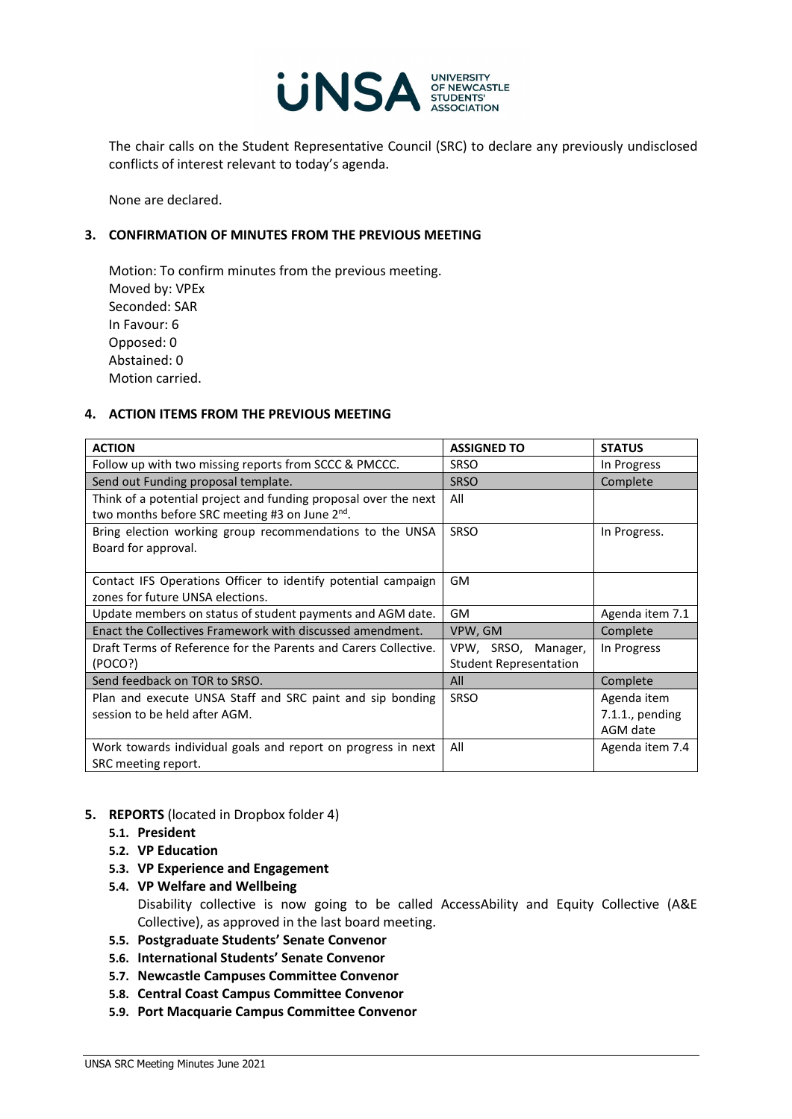

The chair calls on the Student Representative Council (SRC) to declare any previously undisclosed conflicts of interest relevant to today's agenda.

None are declared.

# **3. CONFIRMATION OF MINUTES FROM THE PREVIOUS MEETING**

Motion: To confirm minutes from the previous meeting. Moved by: VPEx Seconded: SAR In Favour: 6 Opposed: 0 Abstained: 0 Motion carried.

# **4. ACTION ITEMS FROM THE PREVIOUS MEETING**

| <b>ACTION</b>                                                                                                                 | <b>ASSIGNED TO</b>                                   | <b>STATUS</b>      |
|-------------------------------------------------------------------------------------------------------------------------------|------------------------------------------------------|--------------------|
| Follow up with two missing reports from SCCC & PMCCC.                                                                         | <b>SRSO</b>                                          | In Progress        |
| Send out Funding proposal template.                                                                                           | <b>SRSO</b>                                          | Complete           |
| Think of a potential project and funding proposal over the next<br>two months before SRC meeting #3 on June 2 <sup>nd</sup> . | All                                                  |                    |
| Bring election working group recommendations to the UNSA<br>Board for approval.                                               | SRSO                                                 | In Progress.       |
| Contact IFS Operations Officer to identify potential campaign<br>zones for future UNSA elections.                             | GM                                                   |                    |
| Update members on status of student payments and AGM date.                                                                    | GM                                                   | Agenda item 7.1    |
| Enact the Collectives Framework with discussed amendment.                                                                     | VPW, GM                                              | Complete           |
| Draft Terms of Reference for the Parents and Carers Collective.<br>(POCO?)                                                    | VPW, SRSO, Manager,<br><b>Student Representation</b> | In Progress        |
| Send feedback on TOR to SRSO.                                                                                                 | All                                                  | Complete           |
| Plan and execute UNSA Staff and SRC paint and sip bonding                                                                     | <b>SRSO</b>                                          | Agenda item        |
| session to be held after AGM.                                                                                                 |                                                      | $7.1.1$ ., pending |
|                                                                                                                               |                                                      | AGM date           |
| Work towards individual goals and report on progress in next<br>SRC meeting report.                                           | All                                                  | Agenda item 7.4    |

# **5. REPORTS** (located in Dropbox folder 4)

- **5.1. President**
- **5.2. VP Education**
- **5.3. VP Experience and Engagement**
- **5.4. VP Welfare and Wellbeing**  Disability collective is now going to be called AccessAbility and Equity Collective (A&E Collective), as approved in the last board meeting.
- **5.5. Postgraduate Students' Senate Convenor**
- **5.6. International Students' Senate Convenor**
- **5.7. Newcastle Campuses Committee Convenor**
- **5.8. Central Coast Campus Committee Convenor**
- **5.9. Port Macquarie Campus Committee Convenor**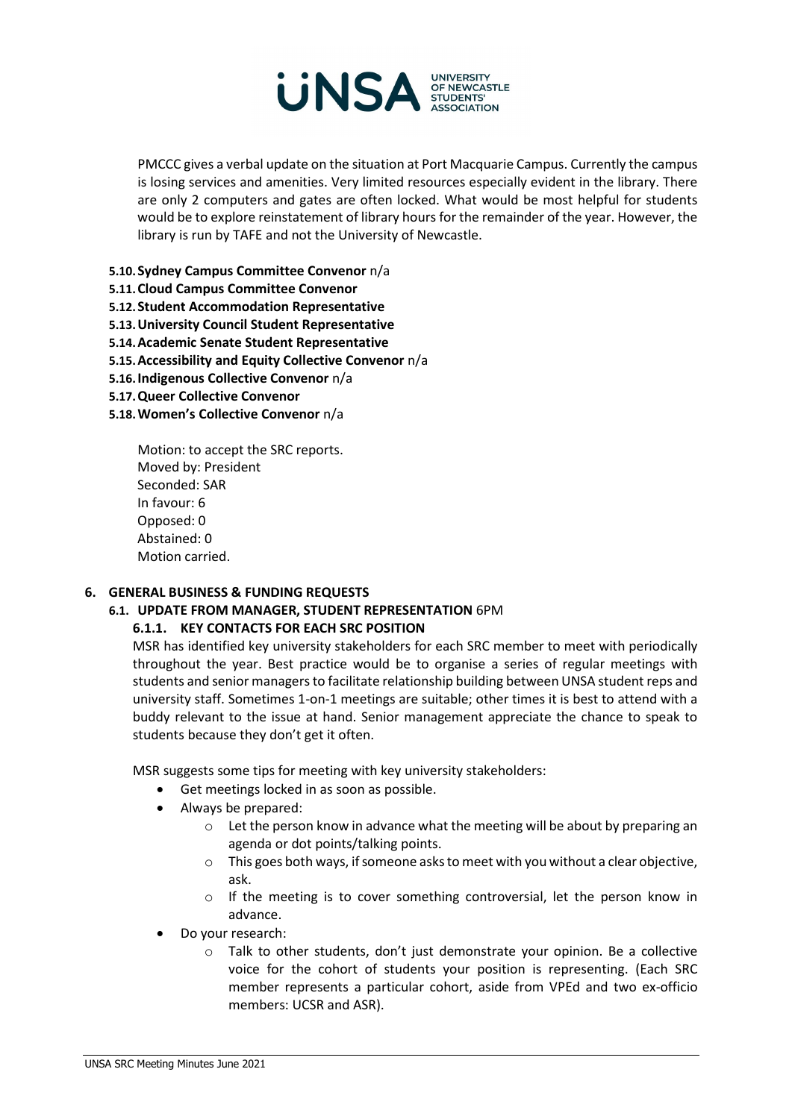

PMCCC gives a verbal update on the situation at Port Macquarie Campus. Currently the campus is losing services and amenities. Very limited resources especially evident in the library. There are only 2 computers and gates are often locked. What would be most helpful for students would be to explore reinstatement of library hours for the remainder of the year. However, the library is run by TAFE and not the University of Newcastle.

- **5.10.Sydney Campus Committee Convenor** n/a
- **5.11.Cloud Campus Committee Convenor**
- **5.12.Student Accommodation Representative**
- **5.13.University Council Student Representative**
- **5.14.Academic Senate Student Representative**
- **5.15.Accessibility and Equity Collective Convenor** n/a
- **5.16.Indigenous Collective Convenor** n/a
- **5.17.Queer Collective Convenor**
- **5.18.Women's Collective Convenor** n/a

Motion: to accept the SRC reports. Moved by: President Seconded: SAR In favour: 6 Opposed: 0 Abstained: 0 Motion carried.

#### **6. GENERAL BUSINESS & FUNDING REQUESTS**

#### **6.1. UPDATE FROM MANAGER, STUDENT REPRESENTATION** 6PM

# **6.1.1. KEY CONTACTS FOR EACH SRC POSITION**

MSR has identified key university stakeholders for each SRC member to meet with periodically throughout the year. Best practice would be to organise a series of regular meetings with students and senior managers to facilitate relationship building between UNSA student reps and university staff. Sometimes 1-on-1 meetings are suitable; other times it is best to attend with a buddy relevant to the issue at hand. Senior management appreciate the chance to speak to students because they don't get it often.

MSR suggests some tips for meeting with key university stakeholders:

- Get meetings locked in as soon as possible.
- Always be prepared:
	- o Let the person know in advance what the meeting will be about by preparing an agenda or dot points/talking points.
	- $\circ$  This goes both ways, if someone asks to meet with you without a clear objective, ask.
	- o If the meeting is to cover something controversial, let the person know in advance.
- Do your research:
	- o Talk to other students, don't just demonstrate your opinion. Be a collective voice for the cohort of students your position is representing. (Each SRC member represents a particular cohort, aside from VPEd and two ex-officio members: UCSR and ASR).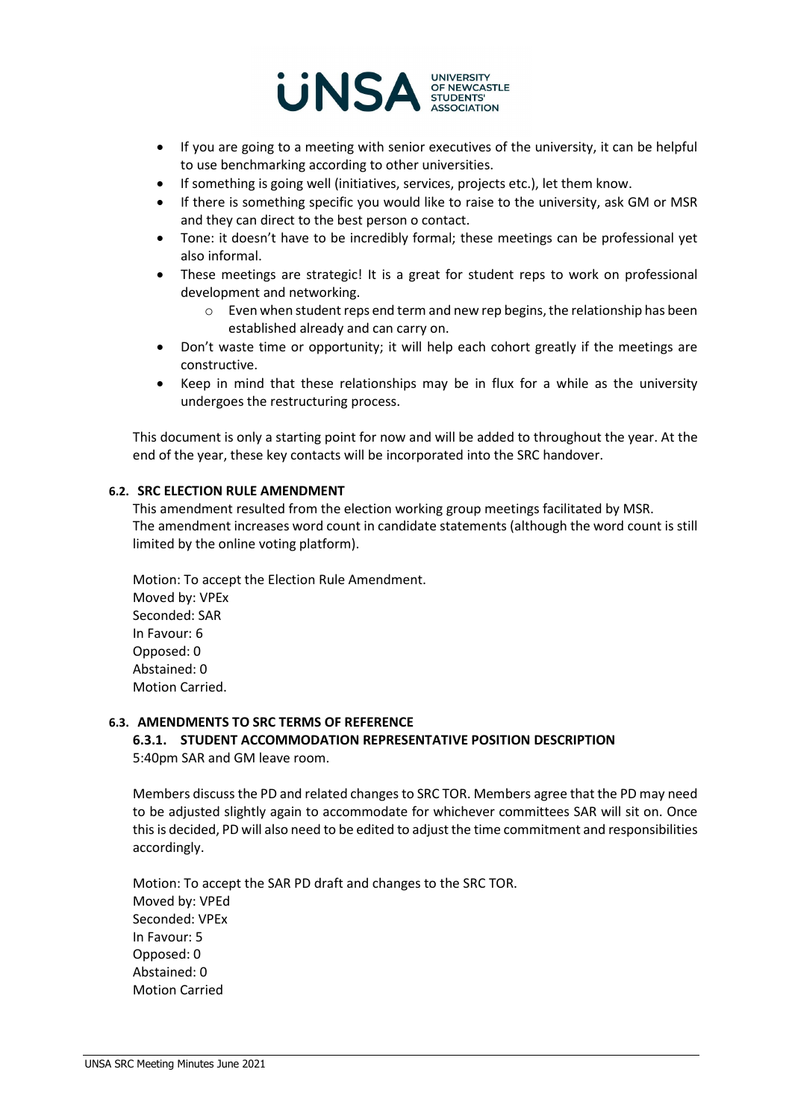

- If you are going to a meeting with senior executives of the university, it can be helpful to use benchmarking according to other universities.
- If something is going well (initiatives, services, projects etc.), let them know.
- If there is something specific you would like to raise to the university, ask GM or MSR and they can direct to the best person o contact.
- Tone: it doesn't have to be incredibly formal; these meetings can be professional yet also informal.
- These meetings are strategic! It is a great for student reps to work on professional development and networking.
	- o Even when student reps end term and new rep begins, the relationship has been established already and can carry on.
- Don't waste time or opportunity; it will help each cohort greatly if the meetings are constructive.
- Keep in mind that these relationships may be in flux for a while as the university undergoes the restructuring process.

This document is only a starting point for now and will be added to throughout the year. At the end of the year, these key contacts will be incorporated into the SRC handover.

# **6.2. SRC ELECTION RULE AMENDMENT**

This amendment resulted from the election working group meetings facilitated by MSR. The amendment increases word count in candidate statements (although the word count is still limited by the online voting platform).

Motion: To accept the Election Rule Amendment. Moved by: VPEx Seconded: SAR In Favour: 6 Opposed: 0 Abstained: 0 Motion Carried.

# **6.3. AMENDMENTS TO SRC TERMS OF REFERENCE**

**6.3.1. STUDENT ACCOMMODATION REPRESENTATIVE POSITION DESCRIPTION** 5:40pm SAR and GM leave room.

Members discuss the PD and related changes to SRC TOR. Members agree that the PD may need to be adjusted slightly again to accommodate for whichever committees SAR will sit on. Once this is decided, PD will also need to be edited to adjust the time commitment and responsibilities accordingly.

Motion: To accept the SAR PD draft and changes to the SRC TOR. Moved by: VPEd Seconded: VPEx In Favour: 5 Opposed: 0 Abstained: 0 Motion Carried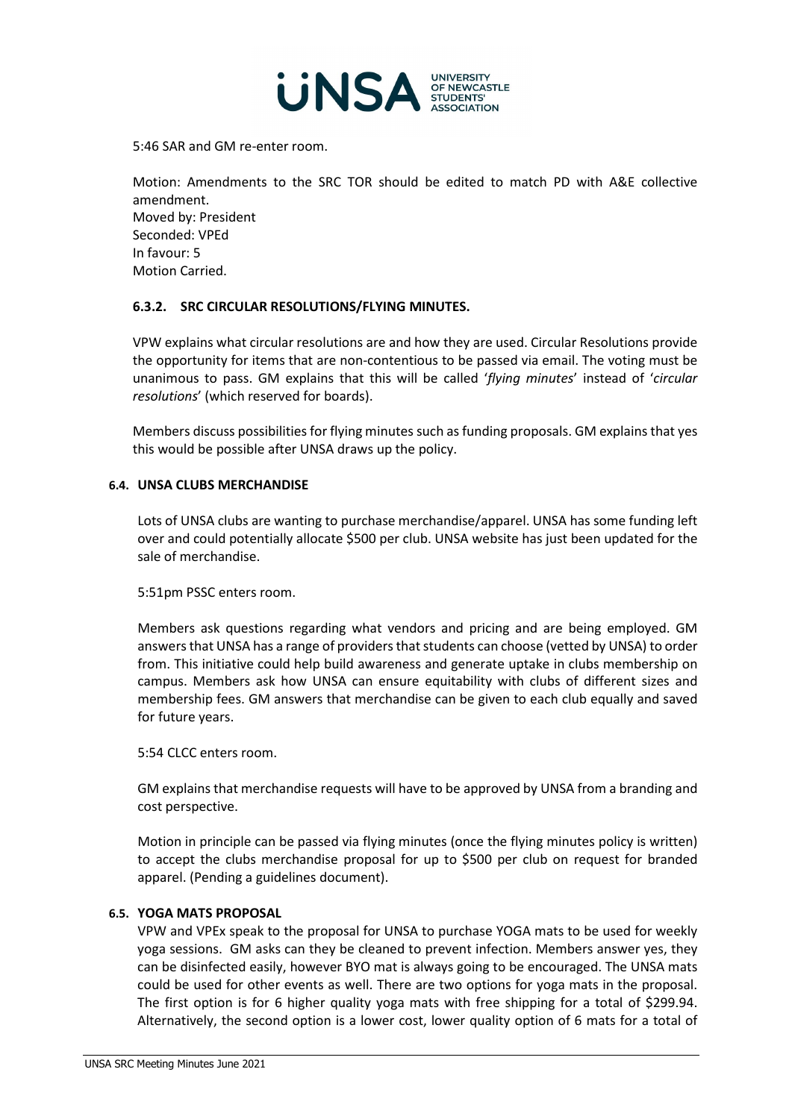

5:46 SAR and GM re-enter room.

Motion: Amendments to the SRC TOR should be edited to match PD with A&E collective amendment. Moved by: President Seconded: VPEd In favour: 5 Motion Carried.

# **6.3.2. SRC CIRCULAR RESOLUTIONS/FLYING MINUTES.**

VPW explains what circular resolutions are and how they are used. Circular Resolutions provide the opportunity for items that are non-contentious to be passed via email. The voting must be unanimous to pass. GM explains that this will be called '*flying minutes*' instead of '*circular resolutions*' (which reserved for boards).

Members discuss possibilities for flying minutes such as funding proposals. GM explains that yes this would be possible after UNSA draws up the policy.

# **6.4. UNSA CLUBS MERCHANDISE**

Lots of UNSA clubs are wanting to purchase merchandise/apparel. UNSA has some funding left over and could potentially allocate \$500 per club. UNSA website has just been updated for the sale of merchandise.

5:51pm PSSC enters room.

Members ask questions regarding what vendors and pricing and are being employed. GM answers that UNSA has a range of providers that students can choose (vetted by UNSA) to order from. This initiative could help build awareness and generate uptake in clubs membership on campus. Members ask how UNSA can ensure equitability with clubs of different sizes and membership fees. GM answers that merchandise can be given to each club equally and saved for future years.

5:54 CLCC enters room.

GM explains that merchandise requests will have to be approved by UNSA from a branding and cost perspective.

Motion in principle can be passed via flying minutes (once the flying minutes policy is written) to accept the clubs merchandise proposal for up to \$500 per club on request for branded apparel. (Pending a guidelines document).

# **6.5. YOGA MATS PROPOSAL**

VPW and VPEx speak to the proposal for UNSA to purchase YOGA mats to be used for weekly yoga sessions. GM asks can they be cleaned to prevent infection. Members answer yes, they can be disinfected easily, however BYO mat is always going to be encouraged. The UNSA mats could be used for other events as well. There are two options for yoga mats in the proposal. The first option is for 6 higher quality yoga mats with free shipping for a total of \$299.94. Alternatively, the second option is a lower cost, lower quality option of 6 mats for a total of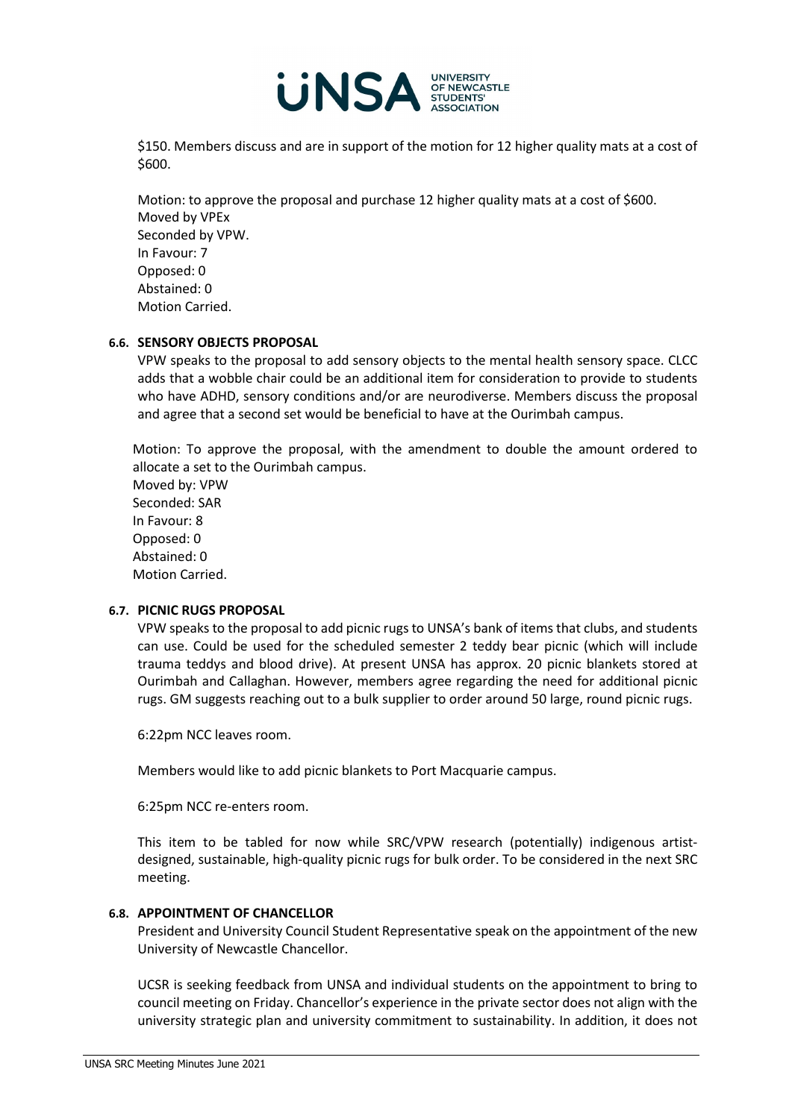

\$150. Members discuss and are in support of the motion for 12 higher quality mats at a cost of \$600.

Motion: to approve the proposal and purchase 12 higher quality mats at a cost of \$600. Moved by VPEx Seconded by VPW. In Favour: 7 Opposed: 0 Abstained: 0 Motion Carried.

# **6.6. SENSORY OBJECTS PROPOSAL**

VPW speaks to the proposal to add sensory objects to the mental health sensory space. CLCC adds that a wobble chair could be an additional item for consideration to provide to students who have ADHD, sensory conditions and/or are neurodiverse. Members discuss the proposal and agree that a second set would be beneficial to have at the Ourimbah campus.

Motion: To approve the proposal, with the amendment to double the amount ordered to allocate a set to the Ourimbah campus.

Moved by: VPW Seconded: SAR In Favour: 8 Opposed: 0 Abstained: 0 Motion Carried.

### **6.7. PICNIC RUGS PROPOSAL**

VPW speaks to the proposal to add picnic rugs to UNSA's bank of items that clubs, and students can use. Could be used for the scheduled semester 2 teddy bear picnic (which will include trauma teddys and blood drive). At present UNSA has approx. 20 picnic blankets stored at Ourimbah and Callaghan. However, members agree regarding the need for additional picnic rugs. GM suggests reaching out to a bulk supplier to order around 50 large, round picnic rugs.

6:22pm NCC leaves room.

Members would like to add picnic blankets to Port Macquarie campus.

6:25pm NCC re-enters room.

This item to be tabled for now while SRC/VPW research (potentially) indigenous artistdesigned, sustainable, high-quality picnic rugs for bulk order. To be considered in the next SRC meeting.

#### **6.8. APPOINTMENT OF CHANCELLOR**

President and University Council Student Representative speak on the appointment of the new University of Newcastle Chancellor.

UCSR is seeking feedback from UNSA and individual students on the appointment to bring to council meeting on Friday. Chancellor's experience in the private sector does not align with the university strategic plan and university commitment to sustainability. In addition, it does not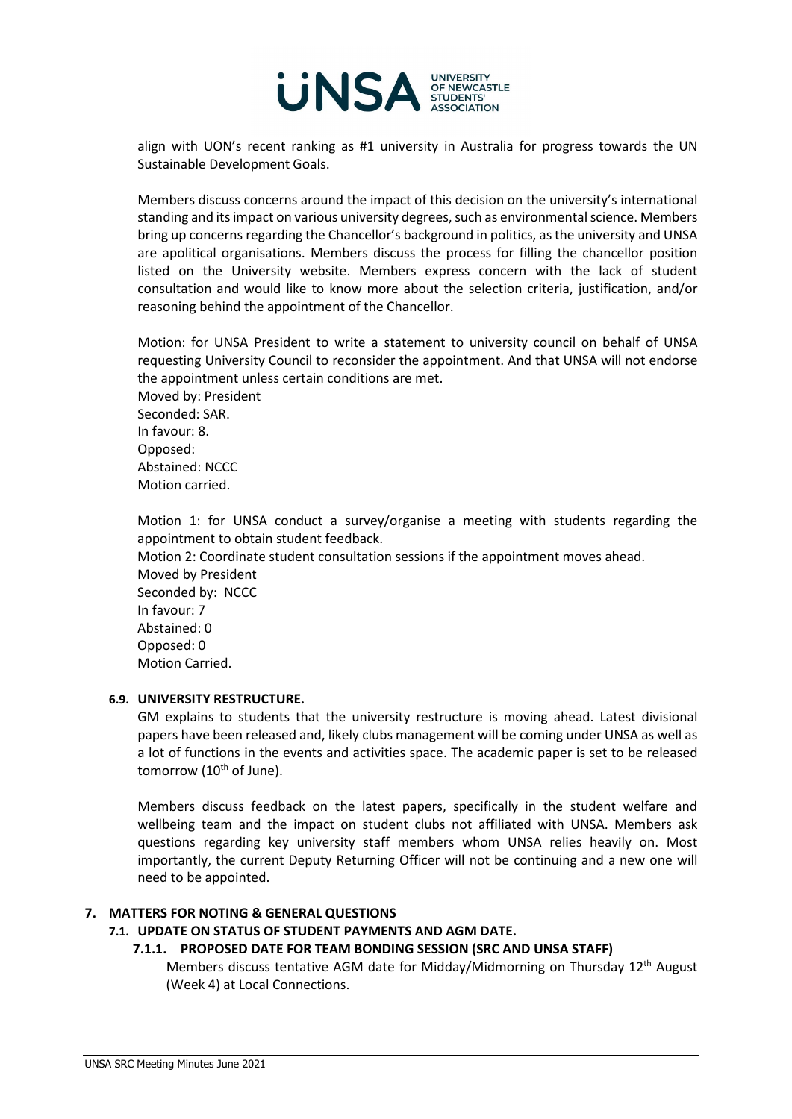

align with UON's recent ranking as #1 university in Australia for progress towards the UN Sustainable Development Goals.

Members discuss concerns around the impact of this decision on the university's international standing and itsimpact on various university degrees, such as environmental science. Members bring up concerns regarding the Chancellor's background in politics, as the university and UNSA are apolitical organisations. Members discuss the process for filling the chancellor position listed on the University website. Members express concern with the lack of student consultation and would like to know more about the selection criteria, justification, and/or reasoning behind the appointment of the Chancellor.

Motion: for UNSA President to write a statement to university council on behalf of UNSA requesting University Council to reconsider the appointment. And that UNSA will not endorse the appointment unless certain conditions are met.

Moved by: President Seconded: SAR. In favour: 8. Opposed: Abstained: NCCC Motion carried.

Motion 1: for UNSA conduct a survey/organise a meeting with students regarding the appointment to obtain student feedback.

Motion 2: Coordinate student consultation sessions if the appointment moves ahead. Moved by President Seconded by: NCCC In favour: 7 Abstained: 0 Opposed: 0 Motion Carried.

# **6.9. UNIVERSITY RESTRUCTURE.**

GM explains to students that the university restructure is moving ahead. Latest divisional papers have been released and, likely clubs management will be coming under UNSA as well as a lot of functions in the events and activities space. The academic paper is set to be released tomorrow ( $10<sup>th</sup>$  of June).

Members discuss feedback on the latest papers, specifically in the student welfare and wellbeing team and the impact on student clubs not affiliated with UNSA. Members ask questions regarding key university staff members whom UNSA relies heavily on. Most importantly, the current Deputy Returning Officer will not be continuing and a new one will need to be appointed.

#### **7. MATTERS FOR NOTING & GENERAL QUESTIONS**

# **7.1. UPDATE ON STATUS OF STUDENT PAYMENTS AND AGM DATE.**

# **7.1.1. PROPOSED DATE FOR TEAM BONDING SESSION (SRC AND UNSA STAFF)**

Members discuss tentative AGM date for Midday/Midmorning on Thursday  $12<sup>th</sup>$  August (Week 4) at Local Connections.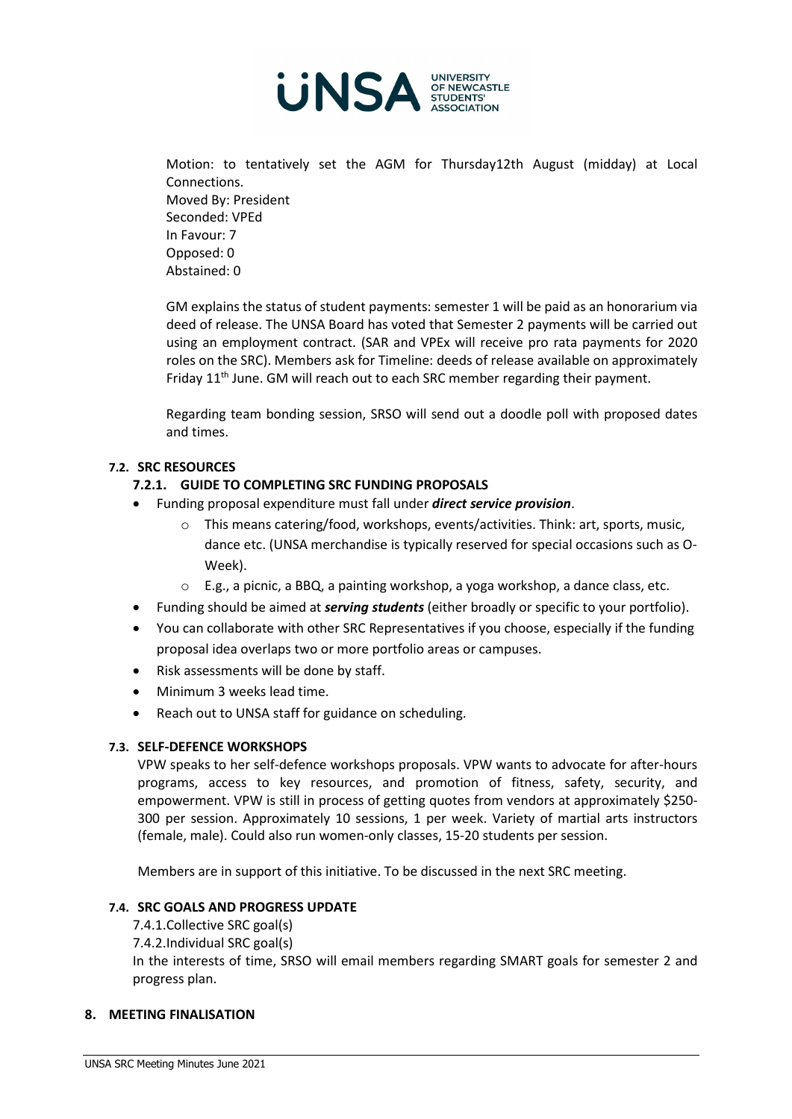

Motion: to tentatively set the AGM for Thursday12th August (midday) at Local Connections. Moved By: President Seconded: VPEd In Favour: 7 Opposed: 0 Abstained: 0

GM explains the status of student payments: semester 1 will be paid as an honorarium via deed of release. The UNSA Board has voted that Semester 2 payments will be carried out using an employment contract. (SAR and VPEx will receive pro rata payments for 2020 roles on the SRC). Members ask for Timeline: deeds of release available on approximately Friday 11<sup>th</sup> June. GM will reach out to each SRC member regarding their payment.

Regarding team bonding session, SRSO will send out a doodle poll with proposed dates and times.

# **7.2. SRC RESOURCES**

# **7.2.1. GUIDE TO COMPLETING SRC FUNDING PROPOSALS**

- Funding proposal expenditure must fall under *direct service provision*.
	- o This means catering/food, workshops, events/activities. Think: art, sports, music, dance etc. (UNSA merchandise is typically reserved for special occasions such as O-Week).
	- o E.g., a picnic, a BBQ, a painting workshop, a yoga workshop, a dance class, etc.
- Funding should be aimed at *serving students* (either broadly or specific to your portfolio).
- You can collaborate with other SRC Representatives if you choose, especially if the funding proposal idea overlaps two or more portfolio areas or campuses.
- Risk assessments will be done by staff.
- Minimum 3 weeks lead time.
- Reach out to UNSA staff for guidance on scheduling.

# **7.3. SELF-DEFENCE WORKSHOPS**

VPW speaks to her self-defence workshops proposals. VPW wants to advocate for after-hours programs, access to key resources, and promotion of fitness, safety, security, and empowerment. VPW is still in process of getting quotes from vendors at approximately \$250- 300 per session. Approximately 10 sessions, 1 per week. Variety of martial arts instructors (female, male). Could also run women-only classes, 15-20 students per session.

Members are in support of this initiative. To be discussed in the next SRC meeting.

# **7.4. SRC GOALS AND PROGRESS UPDATE**

- 7.4.1.Collective SRC goal(s)
- 7.4.2.Individual SRC goal(s)

In the interests of time, SRSO will email members regarding SMART goals for semester 2 and progress plan.

# **8. MEETING FINALISATION**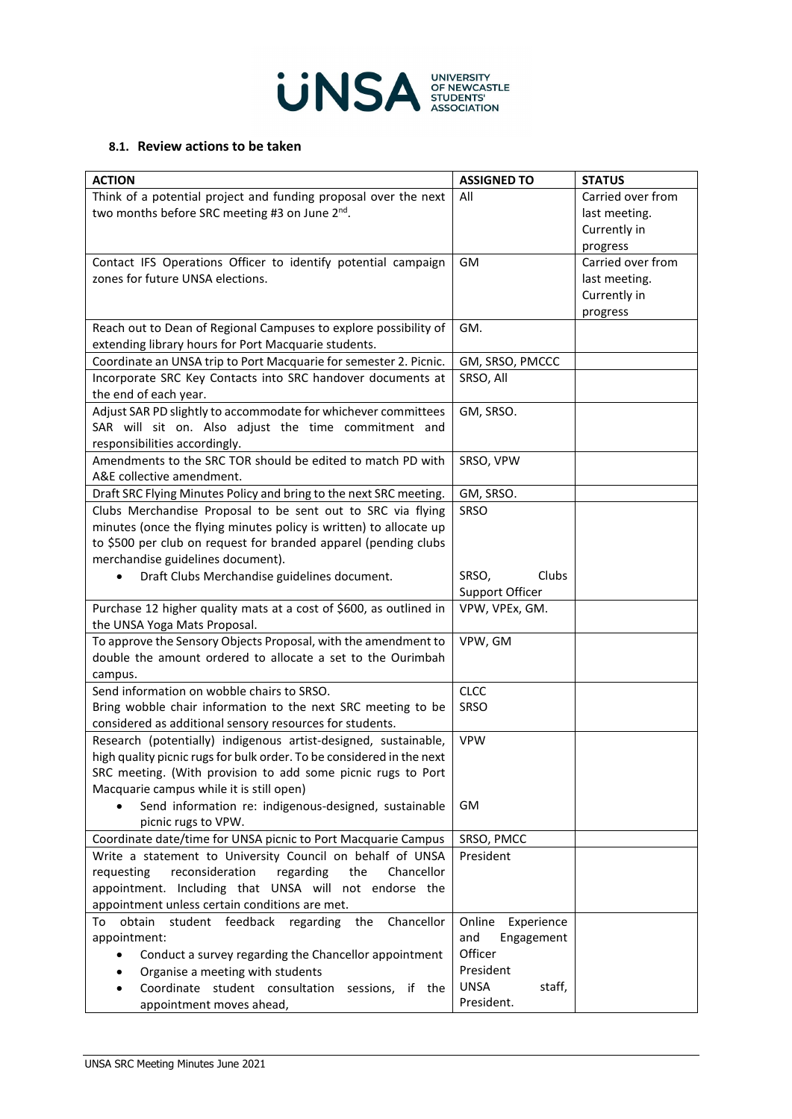

### **8.1. Review actions to be taken**

| <b>ACTION</b>                                                                                                                 | <b>ASSIGNED TO</b>    | <b>STATUS</b>     |
|-------------------------------------------------------------------------------------------------------------------------------|-----------------------|-------------------|
| Think of a potential project and funding proposal over the next                                                               | All                   | Carried over from |
| two months before SRC meeting #3 on June 2nd.                                                                                 |                       | last meeting.     |
|                                                                                                                               |                       | Currently in      |
|                                                                                                                               |                       | progress          |
| Contact IFS Operations Officer to identify potential campaign                                                                 | GM                    | Carried over from |
| zones for future UNSA elections.                                                                                              |                       | last meeting.     |
|                                                                                                                               |                       | Currently in      |
|                                                                                                                               |                       | progress          |
| Reach out to Dean of Regional Campuses to explore possibility of                                                              | GM.                   |                   |
| extending library hours for Port Macquarie students.                                                                          |                       |                   |
| Coordinate an UNSA trip to Port Macquarie for semester 2. Picnic.                                                             | GM, SRSO, PMCCC       |                   |
| Incorporate SRC Key Contacts into SRC handover documents at                                                                   | SRSO, All             |                   |
| the end of each year.                                                                                                         |                       |                   |
| Adjust SAR PD slightly to accommodate for whichever committees                                                                | GM, SRSO.             |                   |
| SAR will sit on. Also adjust the time commitment and                                                                          |                       |                   |
| responsibilities accordingly.                                                                                                 |                       |                   |
| Amendments to the SRC TOR should be edited to match PD with                                                                   | SRSO, VPW             |                   |
| A&E collective amendment.                                                                                                     |                       |                   |
| Draft SRC Flying Minutes Policy and bring to the next SRC meeting.                                                            | GM, SRSO.             |                   |
| Clubs Merchandise Proposal to be sent out to SRC via flying                                                                   | SRSO                  |                   |
| minutes (once the flying minutes policy is written) to allocate up                                                            |                       |                   |
| to \$500 per club on request for branded apparel (pending clubs                                                               |                       |                   |
| merchandise guidelines document).                                                                                             |                       |                   |
| Draft Clubs Merchandise guidelines document.                                                                                  | SRSO,<br>Clubs        |                   |
|                                                                                                                               | Support Officer       |                   |
| Purchase 12 higher quality mats at a cost of \$600, as outlined in                                                            | VPW, VPEx, GM.        |                   |
| the UNSA Yoga Mats Proposal.                                                                                                  |                       |                   |
| To approve the Sensory Objects Proposal, with the amendment to<br>double the amount ordered to allocate a set to the Ourimbah | VPW, GM               |                   |
|                                                                                                                               |                       |                   |
| campus.<br>Send information on wobble chairs to SRSO.                                                                         | <b>CLCC</b>           |                   |
| Bring wobble chair information to the next SRC meeting to be                                                                  | SRSO                  |                   |
| considered as additional sensory resources for students.                                                                      |                       |                   |
| Research (potentially) indigenous artist-designed, sustainable,                                                               | <b>VPW</b>            |                   |
| high quality picnic rugs for bulk order. To be considered in the next                                                         |                       |                   |
| SRC meeting. (With provision to add some picnic rugs to Port                                                                  |                       |                   |
| Macquarie campus while it is still open)                                                                                      |                       |                   |
| Send information re: indigenous-designed, sustainable                                                                         | GM                    |                   |
| picnic rugs to VPW.                                                                                                           |                       |                   |
| Coordinate date/time for UNSA picnic to Port Macquarie Campus                                                                 | SRSO, PMCC            |                   |
| Write a statement to University Council on behalf of UNSA                                                                     | President             |                   |
| reconsideration<br>requesting<br>regarding<br>the<br>Chancellor                                                               |                       |                   |
| appointment. Including that UNSA will not endorse the                                                                         |                       |                   |
| appointment unless certain conditions are met.                                                                                |                       |                   |
| Chancellor<br>obtain student feedback regarding<br>the<br>To                                                                  | Online<br>Experience  |                   |
| appointment:                                                                                                                  | and<br>Engagement     |                   |
| Conduct a survey regarding the Chancellor appointment<br>$\bullet$                                                            | Officer               |                   |
| Organise a meeting with students                                                                                              | President             |                   |
| Coordinate student consultation<br>sessions, if the                                                                           | <b>UNSA</b><br>staff, |                   |
| appointment moves ahead,                                                                                                      | President.            |                   |